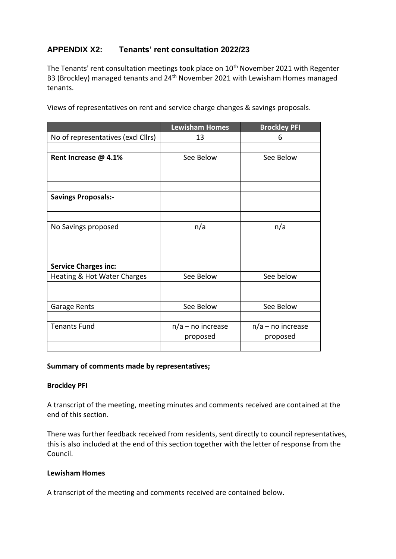## **APPENDIX X2: Tenants' rent consultation 2022/23**

The Tenants' rent consultation meetings took place on  $10<sup>th</sup>$  November 2021 with Regenter B3 (Brockley) managed tenants and 24<sup>th</sup> November 2021 with Lewisham Homes managed tenants.

Views of representatives on rent and service charge changes & savings proposals.

|                                    | <b>Lewisham Homes</b> | <b>Brockley PFI</b> |
|------------------------------------|-----------------------|---------------------|
| No of representatives (excl Cllrs) | 13                    | 6                   |
|                                    |                       |                     |
| Rent Increase @ 4.1%               | See Below             | See Below           |
|                                    |                       |                     |
|                                    |                       |                     |
| <b>Savings Proposals:-</b>         |                       |                     |
|                                    |                       |                     |
| No Savings proposed                | n/a                   | n/a                 |
|                                    |                       |                     |
|                                    |                       |                     |
| <b>Service Charges inc:</b>        |                       |                     |
| Heating & Hot Water Charges        | See Below             | See below           |
|                                    |                       |                     |
| Garage Rents                       | See Below             | See Below           |
|                                    |                       |                     |
| <b>Tenants Fund</b>                | $n/a$ – no increase   | $n/a$ – no increase |
|                                    | proposed              | proposed            |
|                                    |                       |                     |

### **Summary of comments made by representatives;**

### **Brockley PFI**

A transcript of the meeting, meeting minutes and comments received are contained at the end of this section.

There was further feedback received from residents, sent directly to council representatives, this is also included at the end of this section together with the letter of response from the Council.

### **Lewisham Homes**

A transcript of the meeting and comments received are contained below.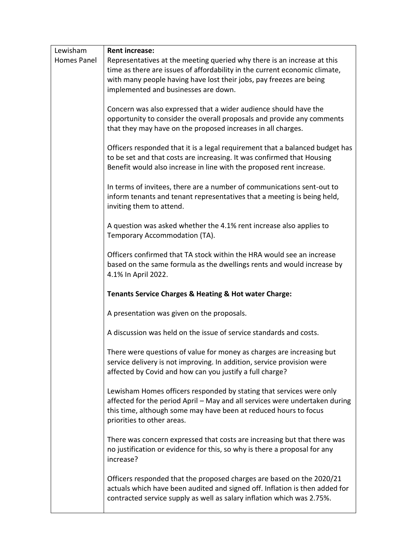| Lewisham    | <b>Rent increase:</b>                                                                                                                                                                                                                                 |
|-------------|-------------------------------------------------------------------------------------------------------------------------------------------------------------------------------------------------------------------------------------------------------|
| Homes Panel | Representatives at the meeting queried why there is an increase at this<br>time as there are issues of affordability in the current economic climate,<br>with many people having have lost their jobs, pay freezes are being                          |
|             | implemented and businesses are down.                                                                                                                                                                                                                  |
|             | Concern was also expressed that a wider audience should have the<br>opportunity to consider the overall proposals and provide any comments<br>that they may have on the proposed increases in all charges.                                            |
|             | Officers responded that it is a legal requirement that a balanced budget has<br>to be set and that costs are increasing. It was confirmed that Housing<br>Benefit would also increase in line with the proposed rent increase.                        |
|             | In terms of invitees, there are a number of communications sent-out to<br>inform tenants and tenant representatives that a meeting is being held,<br>inviting them to attend.                                                                         |
|             | A question was asked whether the 4.1% rent increase also applies to<br>Temporary Accommodation (TA).                                                                                                                                                  |
|             | Officers confirmed that TA stock within the HRA would see an increase<br>based on the same formula as the dwellings rents and would increase by<br>4.1% In April 2022.                                                                                |
|             | Tenants Service Charges & Heating & Hot water Charge:                                                                                                                                                                                                 |
|             | A presentation was given on the proposals.                                                                                                                                                                                                            |
|             | A discussion was held on the issue of service standards and costs.                                                                                                                                                                                    |
|             | There were questions of value for money as charges are increasing but<br>service delivery is not improving. In addition, service provision were<br>affected by Covid and how can you justify a full charge?                                           |
|             | Lewisham Homes officers responded by stating that services were only<br>affected for the period April - May and all services were undertaken during<br>this time, although some may have been at reduced hours to focus<br>priorities to other areas. |
|             | There was concern expressed that costs are increasing but that there was<br>no justification or evidence for this, so why is there a proposal for any<br>increase?                                                                                    |
|             | Officers responded that the proposed charges are based on the 2020/21<br>actuals which have been audited and signed off. Inflation is then added for<br>contracted service supply as well as salary inflation which was 2.75%.                        |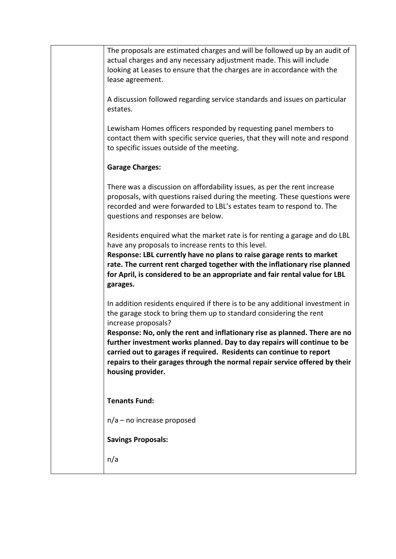| The proposals are estimated charges and will be followed up by an audit of<br>actual charges and any necessary adjustment made. This will include<br>looking at Leases to ensure that the charges are in accordance with the<br>lease agreement.                                                                                                                                                                                                                                                                 |
|------------------------------------------------------------------------------------------------------------------------------------------------------------------------------------------------------------------------------------------------------------------------------------------------------------------------------------------------------------------------------------------------------------------------------------------------------------------------------------------------------------------|
| A discussion followed regarding service standards and issues on particular<br>estates.                                                                                                                                                                                                                                                                                                                                                                                                                           |
| Lewisham Homes officers responded by requesting panel members to<br>contact them with specific service queries, that they will note and respond<br>to specific issues outside of the meeting.                                                                                                                                                                                                                                                                                                                    |
| <b>Garage Charges:</b>                                                                                                                                                                                                                                                                                                                                                                                                                                                                                           |
| There was a discussion on affordability issues, as per the rent increase<br>proposals, with questions raised during the meeting. These questions were<br>recorded and were forwarded to LBL's estates team to respond to. The<br>questions and responses are below.                                                                                                                                                                                                                                              |
| Residents enquired what the market rate is for renting a garage and do LBL<br>have any proposals to increase rents to this level.<br>Response: LBL currently have no plans to raise garage rents to market<br>rate. The current rent charged together with the inflationary rise planned<br>for April, is considered to be an appropriate and fair rental value for LBL<br>garages.                                                                                                                              |
| In addition residents enquired if there is to be any additional investment in<br>the garage stock to bring them up to standard considering the rent<br>increase proposals?<br>Response: No, only the rent and inflationary rise as planned. There are no<br>further investment works planned. Day to day repairs will continue to be<br>carried out to garages if required. Residents can continue to report<br>repairs to their garages through the normal repair service offered by their<br>housing provider. |
| <b>Tenants Fund:</b>                                                                                                                                                                                                                                                                                                                                                                                                                                                                                             |
| $n/a$ – no increase proposed                                                                                                                                                                                                                                                                                                                                                                                                                                                                                     |
| <b>Savings Proposals:</b>                                                                                                                                                                                                                                                                                                                                                                                                                                                                                        |
| n/a                                                                                                                                                                                                                                                                                                                                                                                                                                                                                                              |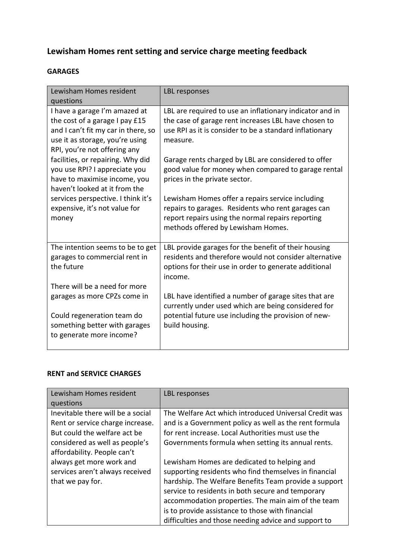# **Lewisham Homes rent setting and service charge meeting feedback**

## **GARAGES**

| Lewisham Homes resident<br>questions                                                                                                                                                                                                            | LBL responses                                                                                                                                                                                                                                                                                         |
|-------------------------------------------------------------------------------------------------------------------------------------------------------------------------------------------------------------------------------------------------|-------------------------------------------------------------------------------------------------------------------------------------------------------------------------------------------------------------------------------------------------------------------------------------------------------|
| I have a garage I'm amazed at<br>the cost of a garage I pay £15<br>and I can't fit my car in there, so<br>use it as storage, you're using<br>RPI, you're not offering any<br>facilities, or repairing. Why did<br>you use RPI? I appreciate you | LBL are required to use an inflationary indicator and in<br>the case of garage rent increases LBL have chosen to<br>use RPI as it is consider to be a standard inflationary<br>measure.<br>Garage rents charged by LBL are considered to offer<br>good value for money when compared to garage rental |
| have to maximise income, you<br>haven't looked at it from the<br>services perspective. I think it's                                                                                                                                             | prices in the private sector.<br>Lewisham Homes offer a repairs service including                                                                                                                                                                                                                     |
| expensive, it's not value for<br>money                                                                                                                                                                                                          | repairs to garages. Residents who rent garages can<br>report repairs using the normal repairs reporting<br>methods offered by Lewisham Homes.                                                                                                                                                         |
| The intention seems to be to get<br>garages to commercial rent in<br>the future                                                                                                                                                                 | LBL provide garages for the benefit of their housing<br>residents and therefore would not consider alternative<br>options for their use in order to generate additional<br>income.                                                                                                                    |
| There will be a need for more<br>garages as more CPZs come in                                                                                                                                                                                   | LBL have identified a number of garage sites that are                                                                                                                                                                                                                                                 |
|                                                                                                                                                                                                                                                 | currently under used which are being considered for                                                                                                                                                                                                                                                   |
| Could regeneration team do<br>something better with garages<br>to generate more income?                                                                                                                                                         | potential future use including the provision of new-<br>build housing.                                                                                                                                                                                                                                |

### **RENT and SERVICE CHARGES**

| Lewisham Homes resident                                                                                                                                                | LBL responses                                                                                                                                                                                                                                                                                                                                                                        |
|------------------------------------------------------------------------------------------------------------------------------------------------------------------------|--------------------------------------------------------------------------------------------------------------------------------------------------------------------------------------------------------------------------------------------------------------------------------------------------------------------------------------------------------------------------------------|
| questions                                                                                                                                                              |                                                                                                                                                                                                                                                                                                                                                                                      |
| Inevitable there will be a social<br>Rent or service charge increase.<br>But could the welfare act be<br>considered as well as people's<br>affordability. People can't | The Welfare Act which introduced Universal Credit was<br>and is a Government policy as well as the rent formula<br>for rent increase. Local Authorities must use the<br>Governments formula when setting its annual rents.                                                                                                                                                           |
| always get more work and<br>services aren't always received<br>that we pay for.                                                                                        | Lewisham Homes are dedicated to helping and<br>supporting residents who find themselves in financial<br>hardship. The Welfare Benefits Team provide a support<br>service to residents in both secure and temporary<br>accommodation properties. The main aim of the team<br>is to provide assistance to those with financial<br>difficulties and those needing advice and support to |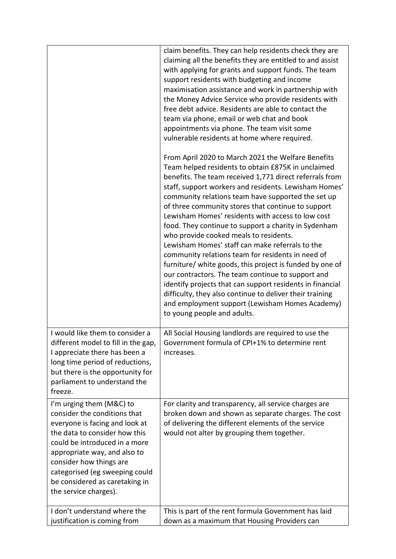|                                                                                                                                                                                                                                                                                                                      | claim benefits. They can help residents check they are<br>claiming all the benefits they are entitled to and assist<br>with applying for grants and support funds. The team<br>support residents with budgeting and income<br>maximisation assistance and work in partnership with<br>the Money Advice Service who provide residents with<br>free debt advice. Residents are able to contact the<br>team via phone, email or web chat and book<br>appointments via phone. The team visit some<br>vulnerable residents at home where required.<br>From April 2020 to March 2021 the Welfare Benefits<br>Team helped residents to obtain £875K in unclaimed<br>benefits. The team received 1,771 direct referrals from<br>staff, support workers and residents. Lewisham Homes'<br>community relations team have supported the set up<br>of three community stores that continue to support<br>Lewisham Homes' residents with access to low cost<br>food. They continue to support a charity in Sydenham<br>who provide cooked meals to residents.<br>Lewisham Homes' staff can make referrals to the<br>community relations team for residents in need of<br>furniture/ white goods, this project is funded by one of<br>our contractors. The team continue to support and<br>identify projects that can support residents in financial<br>difficulty, they also continue to deliver their training<br>and employment support (Lewisham Homes Academy)<br>to young people and adults. |
|----------------------------------------------------------------------------------------------------------------------------------------------------------------------------------------------------------------------------------------------------------------------------------------------------------------------|--------------------------------------------------------------------------------------------------------------------------------------------------------------------------------------------------------------------------------------------------------------------------------------------------------------------------------------------------------------------------------------------------------------------------------------------------------------------------------------------------------------------------------------------------------------------------------------------------------------------------------------------------------------------------------------------------------------------------------------------------------------------------------------------------------------------------------------------------------------------------------------------------------------------------------------------------------------------------------------------------------------------------------------------------------------------------------------------------------------------------------------------------------------------------------------------------------------------------------------------------------------------------------------------------------------------------------------------------------------------------------------------------------------------------------------------------------------------------------------|
| I would like them to consider a<br>different model to fill in the gap,<br>I appreciate there has been a<br>long time period of reductions,<br>but there is the opportunity for<br>parliament to understand the<br>freeze.                                                                                            | All Social Housing landlords are required to use the<br>Government formula of CPI+1% to determine rent<br>increases.                                                                                                                                                                                                                                                                                                                                                                                                                                                                                                                                                                                                                                                                                                                                                                                                                                                                                                                                                                                                                                                                                                                                                                                                                                                                                                                                                                 |
| I'm urging them (M&C) to<br>consider the conditions that<br>everyone is facing and look at<br>the data to consider how this<br>could be introduced in a more<br>appropriate way, and also to<br>consider how things are<br>categorised (eg sweeping could<br>be considered as caretaking in<br>the service charges). | For clarity and transparency, all service charges are<br>broken down and shown as separate charges. The cost<br>of delivering the different elements of the service<br>would not alter by grouping them together.                                                                                                                                                                                                                                                                                                                                                                                                                                                                                                                                                                                                                                                                                                                                                                                                                                                                                                                                                                                                                                                                                                                                                                                                                                                                    |
| I don't understand where the<br>justification is coming from                                                                                                                                                                                                                                                         | This is part of the rent formula Government has laid<br>down as a maximum that Housing Providers can                                                                                                                                                                                                                                                                                                                                                                                                                                                                                                                                                                                                                                                                                                                                                                                                                                                                                                                                                                                                                                                                                                                                                                                                                                                                                                                                                                                 |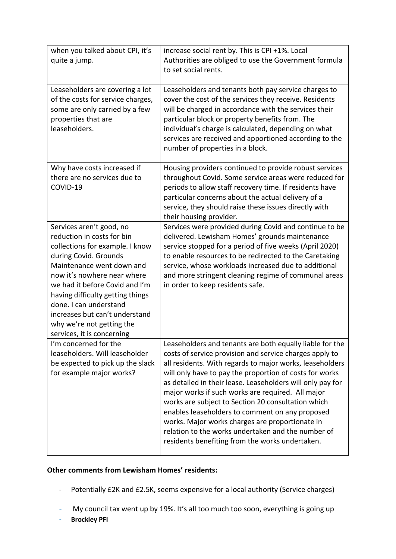| when you talked about CPI, it's<br>quite a jump.                                                                                                                                                                                                                                                                                                                            | increase social rent by. This is CPI +1%. Local<br>Authorities are obliged to use the Government formula<br>to set social rents.                                                                                                                                                                                                                                                                                                                                                                                                                                                                                                   |
|-----------------------------------------------------------------------------------------------------------------------------------------------------------------------------------------------------------------------------------------------------------------------------------------------------------------------------------------------------------------------------|------------------------------------------------------------------------------------------------------------------------------------------------------------------------------------------------------------------------------------------------------------------------------------------------------------------------------------------------------------------------------------------------------------------------------------------------------------------------------------------------------------------------------------------------------------------------------------------------------------------------------------|
| Leaseholders are covering a lot<br>of the costs for service charges,<br>some are only carried by a few<br>properties that are<br>leaseholders.                                                                                                                                                                                                                              | Leaseholders and tenants both pay service charges to<br>cover the cost of the services they receive. Residents<br>will be charged in accordance with the services their<br>particular block or property benefits from. The<br>individual's charge is calculated, depending on what<br>services are received and apportioned according to the<br>number of properties in a block.                                                                                                                                                                                                                                                   |
| Why have costs increased if<br>there are no services due to<br>COVID-19                                                                                                                                                                                                                                                                                                     | Housing providers continued to provide robust services<br>throughout Covid. Some service areas were reduced for<br>periods to allow staff recovery time. If residents have<br>particular concerns about the actual delivery of a<br>service, they should raise these issues directly with<br>their housing provider.                                                                                                                                                                                                                                                                                                               |
| Services aren't good, no<br>reduction in costs for bin<br>collections for example. I know<br>during Covid. Grounds<br>Maintenance went down and<br>now it's nowhere near where<br>we had it before Covid and I'm<br>having difficulty getting things<br>done. I can understand<br>increases but can't understand<br>why we're not getting the<br>services, it is concerning | Services were provided during Covid and continue to be<br>delivered. Lewisham Homes' grounds maintenance<br>service stopped for a period of five weeks (April 2020)<br>to enable resources to be redirected to the Caretaking<br>service, whose workloads increased due to additional<br>and more stringent cleaning regime of communal areas<br>in order to keep residents safe.                                                                                                                                                                                                                                                  |
| I'm concerned for the<br>leaseholders. Will leaseholder<br>be expected to pick up the slack<br>for example major works?                                                                                                                                                                                                                                                     | Leaseholders and tenants are both equally liable for the<br>costs of service provision and service charges apply to<br>all residents. With regards to major works, leaseholders<br>will only have to pay the proportion of costs for works<br>as detailed in their lease. Leaseholders will only pay for<br>major works if such works are required. All major<br>works are subject to Section 20 consultation which<br>enables leaseholders to comment on any proposed<br>works. Major works charges are proportionate in<br>relation to the works undertaken and the number of<br>residents benefiting from the works undertaken. |

### **Other comments from Lewisham Homes' residents:**

- Potentially £2K and £2.5K, seems expensive for a local authority (Service charges)
- My council tax went up by 19%. It's all too much too soon, everything is going up
- **Brockley PFI**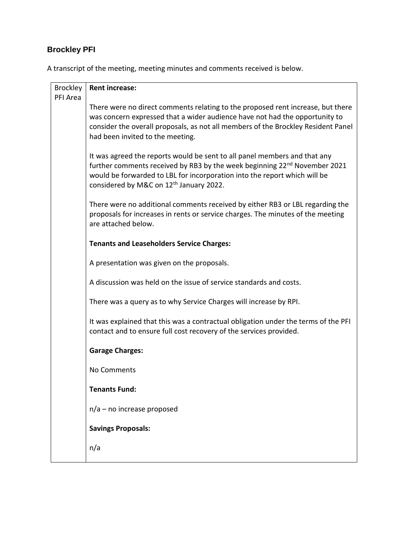# **Brockley PFI**

A transcript of the meeting, meeting minutes and comments received is below.

| <b>Brockley</b> | <b>Rent increase:</b>                                                                                                                                                                                                                                                                                  |
|-----------------|--------------------------------------------------------------------------------------------------------------------------------------------------------------------------------------------------------------------------------------------------------------------------------------------------------|
| PFI Area        |                                                                                                                                                                                                                                                                                                        |
|                 | There were no direct comments relating to the proposed rent increase, but there<br>was concern expressed that a wider audience have not had the opportunity to<br>consider the overall proposals, as not all members of the Brockley Resident Panel                                                    |
|                 | had been invited to the meeting.                                                                                                                                                                                                                                                                       |
|                 | It was agreed the reports would be sent to all panel members and that any<br>further comments received by RB3 by the week beginning 22 <sup>nd</sup> November 2021<br>would be forwarded to LBL for incorporation into the report which will be<br>considered by M&C on 12 <sup>th</sup> January 2022. |
|                 | There were no additional comments received by either RB3 or LBL regarding the<br>proposals for increases in rents or service charges. The minutes of the meeting<br>are attached below.                                                                                                                |
|                 | <b>Tenants and Leaseholders Service Charges:</b>                                                                                                                                                                                                                                                       |
|                 | A presentation was given on the proposals.                                                                                                                                                                                                                                                             |
|                 | A discussion was held on the issue of service standards and costs.                                                                                                                                                                                                                                     |
|                 | There was a query as to why Service Charges will increase by RPI.                                                                                                                                                                                                                                      |
|                 | It was explained that this was a contractual obligation under the terms of the PFI<br>contact and to ensure full cost recovery of the services provided.                                                                                                                                               |
|                 | <b>Garage Charges:</b>                                                                                                                                                                                                                                                                                 |
|                 | No Comments                                                                                                                                                                                                                                                                                            |
|                 | <b>Tenants Fund:</b>                                                                                                                                                                                                                                                                                   |
|                 | $n/a$ – no increase proposed                                                                                                                                                                                                                                                                           |
|                 | <b>Savings Proposals:</b>                                                                                                                                                                                                                                                                              |
|                 | n/a                                                                                                                                                                                                                                                                                                    |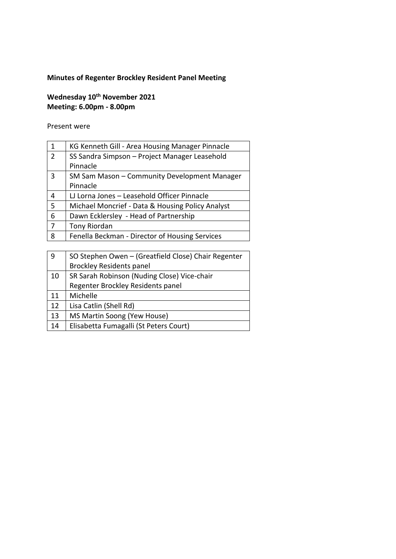## **Minutes of Regenter Brockley Resident Panel Meeting**

## **Wednesday 10th November 2021 Meeting: 6.00pm - 8.00pm**

Present were

| $\mathbf{1}$   | KG Kenneth Gill - Area Housing Manager Pinnacle  |
|----------------|--------------------------------------------------|
| $\overline{2}$ | SS Sandra Simpson – Project Manager Leasehold    |
|                | Pinnacle                                         |
| 3              | SM Sam Mason - Community Development Manager     |
|                | Pinnacle                                         |
| 4              | LJ Lorna Jones - Leasehold Officer Pinnacle      |
| 5              | Michael Moncrief - Data & Housing Policy Analyst |
| 6              | Dawn Ecklersley - Head of Partnership            |
| 7              | Tony Riordan                                     |
| 8              | Fenella Beckman - Director of Housing Services   |

| 9  | SO Stephen Owen - (Greatfield Close) Chair Regenter |
|----|-----------------------------------------------------|
|    | <b>Brockley Residents panel</b>                     |
| 10 | SR Sarah Robinson (Nuding Close) Vice-chair         |
|    | Regenter Brockley Residents panel                   |
| 11 | Michelle                                            |
| 12 | Lisa Catlin (Shell Rd)                              |
| 13 | MS Martin Soong (Yew House)                         |
| 14 | Elisabetta Fumagalli (St Peters Court)              |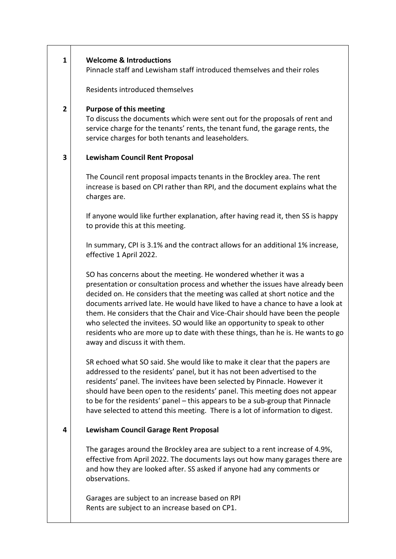#### **1 Welcome & Introductions**

Pinnacle staff and Lewisham staff introduced themselves and their roles

Residents introduced themselves

#### **2 Purpose of this meeting**

To discuss the documents which were sent out for the proposals of rent and service charge for the tenants' rents, the tenant fund, the garage rents, the service charges for both tenants and leaseholders.

#### **3 Lewisham Council Rent Proposal**

The Council rent proposal impacts tenants in the Brockley area. The rent increase is based on CPI rather than RPI, and the document explains what the charges are.

If anyone would like further explanation, after having read it, then SS is happy to provide this at this meeting.

In summary, CPI is 3.1% and the contract allows for an additional 1% increase, effective 1 April 2022.

SO has concerns about the meeting. He wondered whether it was a presentation or consultation process and whether the issues have already been decided on. He considers that the meeting was called at short notice and the documents arrived late. He would have liked to have a chance to have a look at them. He considers that the Chair and Vice-Chair should have been the people who selected the invitees. SO would like an opportunity to speak to other residents who are more up to date with these things, than he is. He wants to go away and discuss it with them.

SR echoed what SO said. She would like to make it clear that the papers are addressed to the residents' panel, but it has not been advertised to the residents' panel. The invitees have been selected by Pinnacle. However it should have been open to the residents' panel. This meeting does not appear to be for the residents' panel – this appears to be a sub-group that Pinnacle have selected to attend this meeting. There is a lot of information to digest.

#### **4 Lewisham Council Garage Rent Proposal**

The garages around the Brockley area are subject to a rent increase of 4.9%, effective from April 2022. The documents lays out how many garages there are and how they are looked after. SS asked if anyone had any comments or observations.

Garages are subject to an increase based on RPI Rents are subject to an increase based on CP1.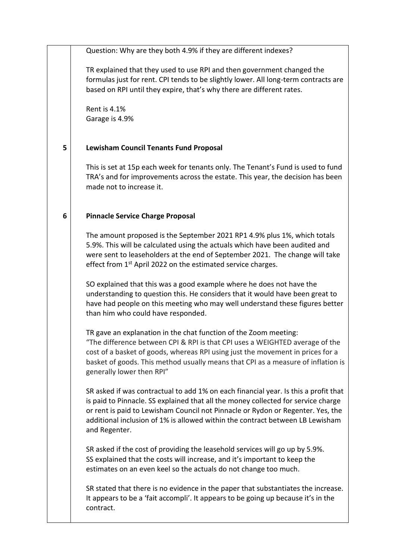Question: Why are they both 4.9% if they are different indexes?

TR explained that they used to use RPI and then government changed the formulas just for rent. CPI tends to be slightly lower. All long-term contracts are based on RPI until they expire, that's why there are different rates.

Rent is 4.1% Garage is 4.9%

#### **5 Lewisham Council Tenants Fund Proposal**

This is set at 15p each week for tenants only. The Tenant's Fund is used to fund TRA's and for improvements across the estate. This year, the decision has been made not to increase it.

#### **6 Pinnacle Service Charge Proposal**

The amount proposed is the September 2021 RP1 4.9% plus 1%, which totals 5.9%. This will be calculated using the actuals which have been audited and were sent to leaseholders at the end of September 2021. The change will take effect from 1<sup>st</sup> April 2022 on the estimated service charges.

SO explained that this was a good example where he does not have the understanding to question this. He considers that it would have been great to have had people on this meeting who may well understand these figures better than him who could have responded.

TR gave an explanation in the chat function of the Zoom meeting: "The difference between CPI & RPI is that CPI uses a WEIGHTED average of the cost of a basket of goods, whereas RPI using just the movement in prices for a basket of goods. This method usually means that CPI as a measure of inflation is generally lower then RPI"

SR asked if was contractual to add 1% on each financial year. Is this a profit that is paid to Pinnacle. SS explained that all the money collected for service charge or rent is paid to Lewisham Council not Pinnacle or Rydon or Regenter. Yes, the additional inclusion of 1% is allowed within the contract between LB Lewisham and Regenter.

SR asked if the cost of providing the leasehold services will go up by 5.9%. SS explained that the costs will increase, and it's important to keep the estimates on an even keel so the actuals do not change too much.

SR stated that there is no evidence in the paper that substantiates the increase. It appears to be a 'fait accompli'. It appears to be going up because it's in the contract.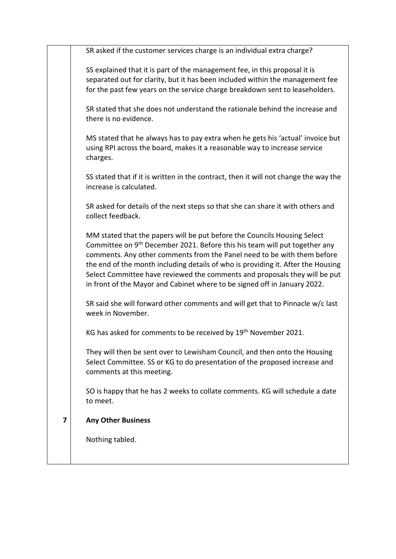|   | SR asked if the customer services charge is an individual extra charge?                                                                                                                                                                                                                                                                                                                                                                                                                      |
|---|----------------------------------------------------------------------------------------------------------------------------------------------------------------------------------------------------------------------------------------------------------------------------------------------------------------------------------------------------------------------------------------------------------------------------------------------------------------------------------------------|
|   | SS explained that it is part of the management fee, in this proposal it is<br>separated out for clarity, but it has been included within the management fee<br>for the past few years on the service charge breakdown sent to leaseholders.                                                                                                                                                                                                                                                  |
|   | SR stated that she does not understand the rationale behind the increase and<br>there is no evidence.                                                                                                                                                                                                                                                                                                                                                                                        |
|   | MS stated that he always has to pay extra when he gets his 'actual' invoice but<br>using RPI across the board, makes it a reasonable way to increase service<br>charges.                                                                                                                                                                                                                                                                                                                     |
|   | SS stated that if it is written in the contract, then it will not change the way the<br>increase is calculated.                                                                                                                                                                                                                                                                                                                                                                              |
|   | SR asked for details of the next steps so that she can share it with others and<br>collect feedback.                                                                                                                                                                                                                                                                                                                                                                                         |
|   | MM stated that the papers will be put before the Councils Housing Select<br>Committee on 9 <sup>th</sup> December 2021. Before this his team will put together any<br>comments. Any other comments from the Panel need to be with them before<br>the end of the month including details of who is providing it. After the Housing<br>Select Committee have reviewed the comments and proposals they will be put<br>in front of the Mayor and Cabinet where to be signed off in January 2022. |
|   | SR said she will forward other comments and will get that to Pinnacle w/c last<br>week in November.                                                                                                                                                                                                                                                                                                                                                                                          |
|   | KG has asked for comments to be received by 19 <sup>th</sup> November 2021.                                                                                                                                                                                                                                                                                                                                                                                                                  |
|   | They will then be sent over to Lewisham Council, and then onto the Housing<br>Select Committee. SS or KG to do presentation of the proposed increase and<br>comments at this meeting.                                                                                                                                                                                                                                                                                                        |
|   | SO is happy that he has 2 weeks to collate comments. KG will schedule a date<br>to meet.                                                                                                                                                                                                                                                                                                                                                                                                     |
| 7 | <b>Any Other Business</b>                                                                                                                                                                                                                                                                                                                                                                                                                                                                    |
|   | Nothing tabled.                                                                                                                                                                                                                                                                                                                                                                                                                                                                              |
|   |                                                                                                                                                                                                                                                                                                                                                                                                                                                                                              |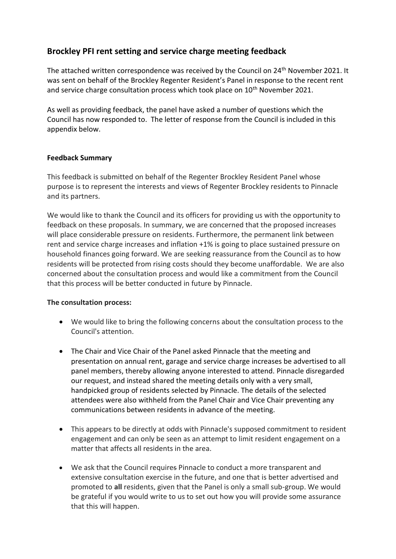## **Brockley PFI rent setting and service charge meeting feedback**

The attached written correspondence was received by the Council on 24<sup>th</sup> November 2021. It was sent on behalf of the Brockley Regenter Resident's Panel in response to the recent rent and service charge consultation process which took place on  $10<sup>th</sup>$  November 2021.

As well as providing feedback, the panel have asked a number of questions which the Council has now responded to. The letter of response from the Council is included in this appendix below.

### **Feedback Summary**

This feedback is submitted on behalf of the Regenter Brockley Resident Panel whose purpose is to represent the interests and views of Regenter Brockley residents to Pinnacle and its partners.

We would like to thank the Council and its officers for providing us with the opportunity to feedback on these proposals. In summary, we are concerned that the proposed increases will place considerable pressure on residents. Furthermore, the permanent link between rent and service charge increases and inflation +1% is going to place sustained pressure on household finances going forward. We are seeking reassurance from the Council as to how residents will be protected from rising costs should they become unaffordable. We are also concerned about the consultation process and would like a commitment from the Council that this process will be better conducted in future by Pinnacle.

### **The consultation process:**

- We would like to bring the following concerns about the consultation process to the Council's attention.
- The Chair and Vice Chair of the Panel asked Pinnacle that the meeting and presentation on annual rent, garage and service charge increases be advertised to all panel members, thereby allowing anyone interested to attend. Pinnacle disregarded our request, and instead shared the meeting details only with a very small, handpicked group of residents selected by Pinnacle. The details of the selected attendees were also withheld from the Panel Chair and Vice Chair preventing any communications between residents in advance of the meeting.
- This appears to be directly at odds with Pinnacle's supposed commitment to resident engagement and can only be seen as an attempt to limit resident engagement on a matter that affects all residents in the area.
- We ask that the Council requires Pinnacle to conduct a more transparent and extensive consultation exercise in the future, and one that is better advertised and promoted to **all** residents, given that the Panel is only a small sub-group. We would be grateful if you would write to us to set out how you will provide some assurance that this will happen.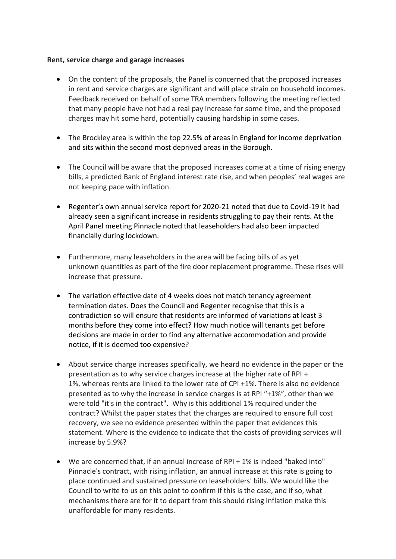### **Rent, service charge and garage increases**

- On the content of the proposals, the Panel is concerned that the proposed increases in rent and service charges are significant and will place strain on household incomes. Feedback received on behalf of some TRA members following the meeting reflected that many people have not had a real pay increase for some time, and the proposed charges may hit some hard, potentially causing hardship in some cases.
- The Brockley area is within the top 22.5% of areas in England for income deprivation and sits within the second most deprived areas in the Borough.
- The Council will be aware that the proposed increases come at a time of rising energy bills, a predicted Bank of England interest rate rise, and when peoples' real wages are not keeping pace with inflation.
- Regenter's own annual service report for 2020-21 noted that due to Covid-19 it had already seen a significant increase in residents struggling to pay their rents. At the April Panel meeting Pinnacle noted that leaseholders had also been impacted financially during lockdown.
- Furthermore, many leaseholders in the area will be facing bills of as yet unknown quantities as part of the fire door replacement programme. These rises will increase that pressure.
- The variation effective date of 4 weeks does not match tenancy agreement termination dates. Does the Council and Regenter recognise that this is a contradiction so will ensure that residents are informed of variations at least 3 months before they come into effect? How much notice will tenants get before decisions are made in order to find any alternative accommodation and provide notice, if it is deemed too expensive?
- About service charge increases specifically, we heard no evidence in the paper or the presentation as to why service charges increase at the higher rate of RPI + 1%, whereas rents are linked to the lower rate of CPI +1%. There is also no evidence presented as to why the increase in service charges is at RPI "+1%", other than we were told "it's in the contract". Why is this additional 1% required under the contract? Whilst the paper states that the charges are required to ensure full cost recovery, we see no evidence presented within the paper that evidences this statement. Where is the evidence to indicate that the costs of providing services will increase by 5.9%?
- We are concerned that, if an annual increase of RPI + 1% is indeed "baked into" Pinnacle's contract, with rising inflation, an annual increase at this rate is going to place continued and sustained pressure on leaseholders' bills. We would like the Council to write to us on this point to confirm if this is the case, and if so, what mechanisms there are for it to depart from this should rising inflation make this unaffordable for many residents.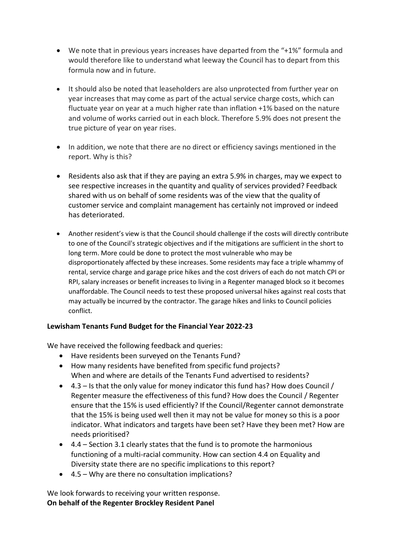- We note that in previous years increases have departed from the "+1%" formula and would therefore like to understand what leeway the Council has to depart from this formula now and in future.
- It should also be noted that leaseholders are also unprotected from further year on year increases that may come as part of the actual service charge costs, which can fluctuate year on year at a much higher rate than inflation +1% based on the nature and volume of works carried out in each block. Therefore 5.9% does not present the true picture of year on year rises.
- In addition, we note that there are no direct or efficiency savings mentioned in the report. Why is this?
- Residents also ask that if they are paying an extra 5.9% in charges, may we expect to see respective increases in the quantity and quality of services provided? Feedback shared with us on behalf of some residents was of the view that the quality of customer service and complaint management has certainly not improved or indeed has deteriorated.
- Another resident's view is that the Council should challenge if the costs will directly contribute to one of the Council's strategic objectives and if the mitigations are sufficient in the short to long term. More could be done to protect the most vulnerable who may be disproportionately affected by these increases. Some residents may face a triple whammy of rental, service charge and garage price hikes and the cost drivers of each do not match CPI or RPI, salary increases or benefit increases to living in a Regenter managed block so it becomes unaffordable. The Council needs to test these proposed universal hikes against real costs that may actually be incurred by the contractor. The garage hikes and links to Council policies conflict.

### **Lewisham Tenants Fund Budget for the Financial Year 2022-23**

We have received the following feedback and queries:

- Have residents been surveyed on the Tenants Fund?
- How many residents have benefited from specific fund projects? When and where are details of the Tenants Fund advertised to residents?
- 4.3 Is that the only value for money indicator this fund has? How does Council / Regenter measure the effectiveness of this fund? How does the Council / Regenter ensure that the 15% is used efficiently? If the Council/Regenter cannot demonstrate that the 15% is being used well then it may not be value for money so this is a poor indicator. What indicators and targets have been set? Have they been met? How are needs prioritised?
- 4.4 Section 3.1 clearly states that the fund is to promote the harmonious functioning of a multi-racial community. How can section 4.4 on Equality and Diversity state there are no specific implications to this report?
- 4.5 Why are there no consultation implications?

We look forwards to receiving your written response. **On behalf of the Regenter Brockley Resident Panel**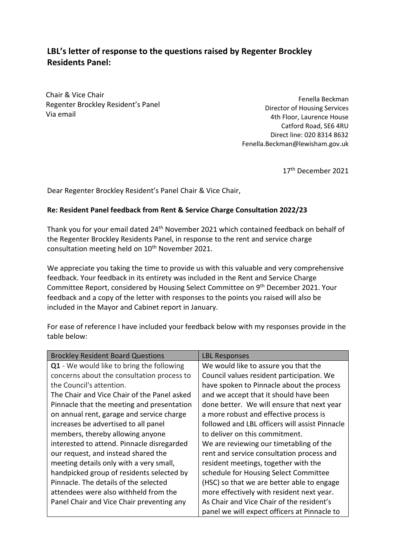## **LBL's letter of response to the questions raised by Regenter Brockley Residents Panel:**

Chair & Vice Chair Regenter Brockley Resident's Panel Via email

Fenella Beckman Director of Housing Services 4th Floor, Laurence House Catford Road, SE6 4RU Direct line: 020 8314 8632 Fenella.Beckman@lewisham.gov.uk

17<sup>th</sup> December 2021

Dear Regenter Brockley Resident's Panel Chair & Vice Chair,

### **Re: Resident Panel feedback from Rent & Service Charge Consultation 2022/23**

Thank you for your email dated 24th November 2021 which contained feedback on behalf of the Regenter Brockley Residents Panel, in response to the rent and service charge consultation meeting held on  $10<sup>th</sup>$  November 2021.

We appreciate you taking the time to provide us with this valuable and very comprehensive feedback. Your feedback in its entirety was included in the Rent and Service Charge Committee Report, considered by Housing Select Committee on 9<sup>th</sup> December 2021. Your feedback and a copy of the letter with responses to the points you raised will also be included in the Mayor and Cabinet report in January.

For ease of reference I have included your feedback below with my responses provide in the table below:

| <b>Brockley Resident Board Questions</b>    | <b>LBL Responses</b>                           |
|---------------------------------------------|------------------------------------------------|
| Q1 - We would like to bring the following   | We would like to assure you that the           |
| concerns about the consultation process to  | Council values resident participation. We      |
| the Council's attention.                    | have spoken to Pinnacle about the process      |
| The Chair and Vice Chair of the Panel asked | and we accept that it should have been         |
| Pinnacle that the meeting and presentation  | done better. We will ensure that next year     |
| on annual rent, garage and service charge   | a more robust and effective process is         |
| increases be advertised to all panel        | followed and LBL officers will assist Pinnacle |
| members, thereby allowing anyone            | to deliver on this commitment.                 |
| interested to attend. Pinnacle disregarded  | We are reviewing our timetabling of the        |
| our request, and instead shared the         | rent and service consultation process and      |
| meeting details only with a very small,     | resident meetings, together with the           |
| handpicked group of residents selected by   | schedule for Housing Select Committee          |
| Pinnacle. The details of the selected       | (HSC) so that we are better able to engage     |
| attendees were also withheld from the       | more effectively with resident next year.      |
| Panel Chair and Vice Chair preventing any   | As Chair and Vice Chair of the resident's      |
|                                             | panel we will expect officers at Pinnacle to   |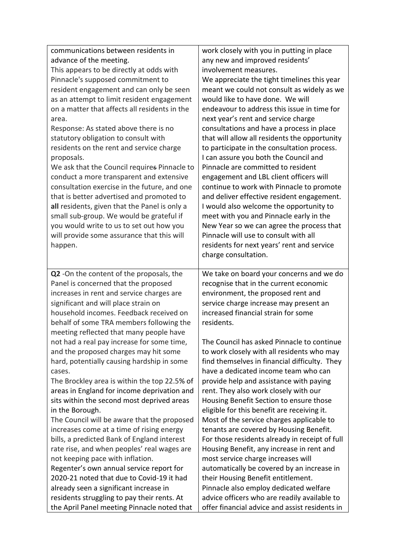| communications between residents in<br>advance of the meeting.<br>This appears to be directly at odds with<br>Pinnacle's supposed commitment to<br>resident engagement and can only be seen<br>as an attempt to limit resident engagement<br>on a matter that affects all residents in the<br>area.<br>Response: As stated above there is no<br>statutory obligation to consult with<br>residents on the rent and service charge<br>proposals.<br>We ask that the Council requires Pinnacle to<br>conduct a more transparent and extensive<br>consultation exercise in the future, and one<br>that is better advertised and promoted to<br>all residents, given that the Panel is only a<br>small sub-group. We would be grateful if<br>you would write to us to set out how you<br>will provide some assurance that this will<br>happen. | work closely with you in putting in place<br>any new and improved residents'<br>involvement measures.<br>We appreciate the tight timelines this year<br>meant we could not consult as widely as we<br>would like to have done. We will<br>endeavour to address this issue in time for<br>next year's rent and service charge<br>consultations and have a process in place<br>that will allow all residents the opportunity<br>to participate in the consultation process.<br>I can assure you both the Council and<br>Pinnacle are committed to resident<br>engagement and LBL client officers will<br>continue to work with Pinnacle to promote<br>and deliver effective resident engagement.<br>I would also welcome the opportunity to<br>meet with you and Pinnacle early in the<br>New Year so we can agree the process that<br>Pinnacle will use to consult with all<br>residents for next years' rent and service<br>charge consultation. |
|-------------------------------------------------------------------------------------------------------------------------------------------------------------------------------------------------------------------------------------------------------------------------------------------------------------------------------------------------------------------------------------------------------------------------------------------------------------------------------------------------------------------------------------------------------------------------------------------------------------------------------------------------------------------------------------------------------------------------------------------------------------------------------------------------------------------------------------------|--------------------------------------------------------------------------------------------------------------------------------------------------------------------------------------------------------------------------------------------------------------------------------------------------------------------------------------------------------------------------------------------------------------------------------------------------------------------------------------------------------------------------------------------------------------------------------------------------------------------------------------------------------------------------------------------------------------------------------------------------------------------------------------------------------------------------------------------------------------------------------------------------------------------------------------------------|
| Q2 -On the content of the proposals, the<br>Panel is concerned that the proposed<br>increases in rent and service charges are<br>significant and will place strain on<br>household incomes. Feedback received on<br>behalf of some TRA members following the<br>meeting reflected that many people have                                                                                                                                                                                                                                                                                                                                                                                                                                                                                                                                   | We take on board your concerns and we do<br>recognise that in the current economic<br>environment, the proposed rent and<br>service charge increase may present an<br>increased financial strain for some<br>residents.                                                                                                                                                                                                                                                                                                                                                                                                                                                                                                                                                                                                                                                                                                                          |
| not had a real pay increase for some time,<br>and the proposed charges may hit some<br>hard, potentially causing hardship in some<br>cases.<br>The Brockley area is within the top 22.5% of<br>areas in England for income deprivation and<br>sits within the second most deprived areas<br>in the Borough.<br>The Council will be aware that the proposed<br>increases come at a time of rising energy<br>bills, a predicted Bank of England interest<br>rate rise, and when peoples' real wages are<br>not keeping pace with inflation.<br>Regenter's own annual service report for<br>2020-21 noted that due to Covid-19 it had<br>already seen a significant increase in<br>residents struggling to pay their rents. At<br>the April Panel meeting Pinnacle noted that                                                                | The Council has asked Pinnacle to continue<br>to work closely with all residents who may<br>find themselves in financial difficulty. They<br>have a dedicated income team who can<br>provide help and assistance with paying<br>rent. They also work closely with our<br>Housing Benefit Section to ensure those<br>eligible for this benefit are receiving it.<br>Most of the service charges applicable to<br>tenants are covered by Housing Benefit.<br>For those residents already in receipt of full<br>Housing Benefit, any increase in rent and<br>most service charge increases will<br>automatically be covered by an increase in<br>their Housing Benefit entitlement.<br>Pinnacle also employ dedicated welfare<br>advice officers who are readily available to<br>offer financial advice and assist residents in                                                                                                                     |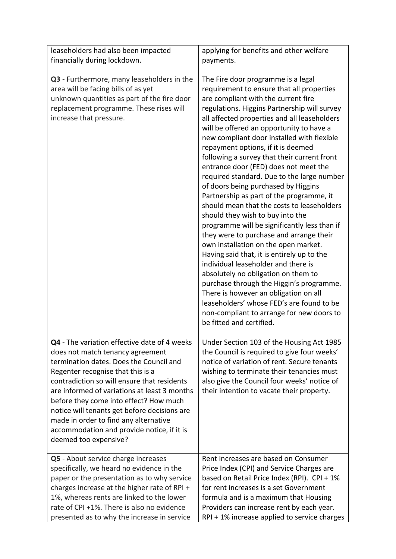| leaseholders had also been impacted                                                                                                                                                                                                                                                                                                                                                                                                                                       | applying for benefits and other welfare                                                                                                                                                                                                                                                                                                                                                                                                                                                                                                                                                                                                                                                                                                                                                                                                                                                                                                                                                                                                                                                                                                     |
|---------------------------------------------------------------------------------------------------------------------------------------------------------------------------------------------------------------------------------------------------------------------------------------------------------------------------------------------------------------------------------------------------------------------------------------------------------------------------|---------------------------------------------------------------------------------------------------------------------------------------------------------------------------------------------------------------------------------------------------------------------------------------------------------------------------------------------------------------------------------------------------------------------------------------------------------------------------------------------------------------------------------------------------------------------------------------------------------------------------------------------------------------------------------------------------------------------------------------------------------------------------------------------------------------------------------------------------------------------------------------------------------------------------------------------------------------------------------------------------------------------------------------------------------------------------------------------------------------------------------------------|
| financially during lockdown.                                                                                                                                                                                                                                                                                                                                                                                                                                              | payments.                                                                                                                                                                                                                                                                                                                                                                                                                                                                                                                                                                                                                                                                                                                                                                                                                                                                                                                                                                                                                                                                                                                                   |
| Q3 - Furthermore, many leaseholders in the<br>area will be facing bills of as yet<br>unknown quantities as part of the fire door<br>replacement programme. These rises will<br>increase that pressure.                                                                                                                                                                                                                                                                    | The Fire door programme is a legal<br>requirement to ensure that all properties<br>are compliant with the current fire<br>regulations. Higgins Partnership will survey<br>all affected properties and all leaseholders<br>will be offered an opportunity to have a<br>new compliant door installed with flexible<br>repayment options, if it is deemed<br>following a survey that their current front<br>entrance door (FED) does not meet the<br>required standard. Due to the large number<br>of doors being purchased by Higgins<br>Partnership as part of the programme, it<br>should mean that the costs to leaseholders<br>should they wish to buy into the<br>programme will be significantly less than if<br>they were to purchase and arrange their<br>own installation on the open market.<br>Having said that, it is entirely up to the<br>individual leaseholder and there is<br>absolutely no obligation on them to<br>purchase through the Higgin's programme.<br>There is however an obligation on all<br>leaseholders' whose FED's are found to be<br>non-compliant to arrange for new doors to<br>be fitted and certified. |
| Q4 - The variation effective date of 4 weeks<br>does not match tenancy agreement<br>termination dates. Does the Council and<br>Regenter recognise that this is a<br>contradiction so will ensure that residents<br>are informed of variations at least 3 months<br>before they come into effect? How much<br>notice will tenants get before decisions are<br>made in order to find any alternative<br>accommodation and provide notice, if it is<br>deemed too expensive? | Under Section 103 of the Housing Act 1985<br>the Council is required to give four weeks'<br>notice of variation of rent. Secure tenants<br>wishing to terminate their tenancies must<br>also give the Council four weeks' notice of<br>their intention to vacate their property.                                                                                                                                                                                                                                                                                                                                                                                                                                                                                                                                                                                                                                                                                                                                                                                                                                                            |
| Q5 - About service charge increases<br>specifically, we heard no evidence in the<br>paper or the presentation as to why service<br>charges increase at the higher rate of RPI +<br>1%, whereas rents are linked to the lower<br>rate of CPI +1%. There is also no evidence<br>presented as to why the increase in service                                                                                                                                                 | Rent increases are based on Consumer<br>Price Index (CPI) and Service Charges are<br>based on Retail Price Index (RPI). CPI + 1%<br>for rent increases is a set Government<br>formula and is a maximum that Housing<br>Providers can increase rent by each year.<br>RPI + 1% increase applied to service charges                                                                                                                                                                                                                                                                                                                                                                                                                                                                                                                                                                                                                                                                                                                                                                                                                            |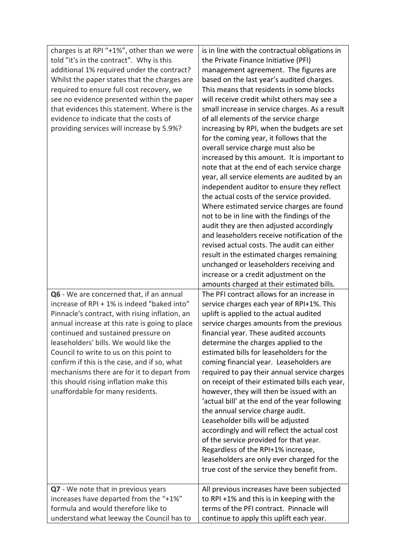| charges is at RPI "+1%", other than we were<br>told "it's in the contract". Why is this<br>additional 1% required under the contract?<br>Whilst the paper states that the charges are<br>required to ensure full cost recovery, we<br>see no evidence presented within the paper<br>that evidences this statement. Where is the<br>evidence to indicate that the costs of<br>providing services will increase by 5.9%?                                                                              | is in line with the contractual obligations in<br>the Private Finance Initiative (PFI)<br>management agreement. The figures are<br>based on the last year's audited charges.<br>This means that residents in some blocks<br>will receive credit whilst others may see a<br>small increase in service charges. As a result<br>of all elements of the service charge<br>increasing by RPI, when the budgets are set<br>for the coming year, it follows that the<br>overall service charge must also be<br>increased by this amount. It is important to<br>note that at the end of each service charge<br>year, all service elements are audited by an<br>independent auditor to ensure they reflect<br>the actual costs of the service provided.<br>Where estimated service charges are found<br>not to be in line with the findings of the<br>audit they are then adjusted accordingly<br>and leaseholders receive notification of the<br>revised actual costs. The audit can either<br>result in the estimated charges remaining<br>unchanged or leaseholders receiving and<br>increase or a credit adjustment on the<br>amounts charged at their estimated bills. |
|-----------------------------------------------------------------------------------------------------------------------------------------------------------------------------------------------------------------------------------------------------------------------------------------------------------------------------------------------------------------------------------------------------------------------------------------------------------------------------------------------------|--------------------------------------------------------------------------------------------------------------------------------------------------------------------------------------------------------------------------------------------------------------------------------------------------------------------------------------------------------------------------------------------------------------------------------------------------------------------------------------------------------------------------------------------------------------------------------------------------------------------------------------------------------------------------------------------------------------------------------------------------------------------------------------------------------------------------------------------------------------------------------------------------------------------------------------------------------------------------------------------------------------------------------------------------------------------------------------------------------------------------------------------------------------------|
| Q6 - We are concerned that, if an annual<br>increase of RPI + 1% is indeed "baked into"<br>Pinnacle's contract, with rising inflation, an<br>annual increase at this rate is going to place<br>continued and sustained pressure on<br>leaseholders' bills. We would like the<br>Council to write to us on this point to<br>confirm if this is the case, and if so, what<br>mechanisms there are for it to depart from<br>this should rising inflation make this<br>unaffordable for many residents. | The PFI contract allows for an increase in<br>service charges each year of RPI+1%. This<br>uplift is applied to the actual audited<br>service charges amounts from the previous<br>financial year. These audited accounts<br>determine the charges applied to the<br>estimated bills for leaseholders for the<br>coming financial year. Leaseholders are<br>required to pay their annual service charges<br>on receipt of their estimated bills each year,<br>however, they will then be issued with an<br>'actual bill' at the end of the year following<br>the annual service charge audit.<br>Leaseholder bills will be adjusted<br>accordingly and will reflect the actual cost<br>of the service provided for that year.<br>Regardless of the RPI+1% increase,<br>leaseholders are only ever charged for the<br>true cost of the service they benefit from.                                                                                                                                                                                                                                                                                                   |
| Q7 - We note that in previous years<br>increases have departed from the "+1%"<br>formula and would therefore like to<br>understand what leeway the Council has to                                                                                                                                                                                                                                                                                                                                   | All previous increases have been subjected<br>to RPI +1% and this is in keeping with the<br>terms of the PFI contract. Pinnacle will<br>continue to apply this uplift each year.                                                                                                                                                                                                                                                                                                                                                                                                                                                                                                                                                                                                                                                                                                                                                                                                                                                                                                                                                                                   |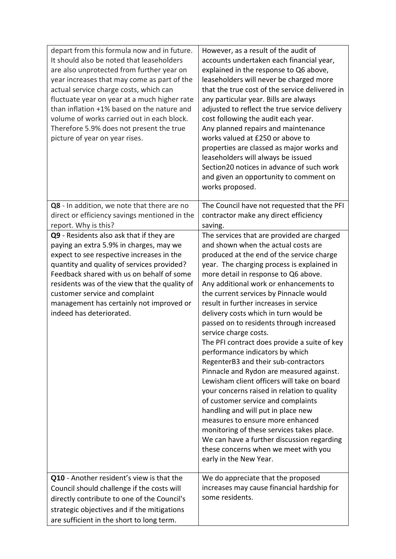| depart from this formula now and in future.<br>It should also be noted that leaseholders<br>are also unprotected from further year on<br>year increases that may come as part of the<br>actual service charge costs, which can<br>fluctuate year on year at a much higher rate<br>than inflation +1% based on the nature and<br>volume of works carried out in each block.<br>Therefore 5.9% does not present the true<br>picture of year on year rises. | However, as a result of the audit of<br>accounts undertaken each financial year,<br>explained in the response to Q6 above,<br>leaseholders will never be charged more<br>that the true cost of the service delivered in<br>any particular year. Bills are always<br>adjusted to reflect the true service delivery<br>cost following the audit each year.<br>Any planned repairs and maintenance<br>works valued at £250 or above to<br>properties are classed as major works and<br>leaseholders will always be issued<br>Section20 notices in advance of such work<br>and given an opportunity to comment on<br>works proposed.                                                                                                                                                                                                                                                                                                                                                                                   |
|----------------------------------------------------------------------------------------------------------------------------------------------------------------------------------------------------------------------------------------------------------------------------------------------------------------------------------------------------------------------------------------------------------------------------------------------------------|--------------------------------------------------------------------------------------------------------------------------------------------------------------------------------------------------------------------------------------------------------------------------------------------------------------------------------------------------------------------------------------------------------------------------------------------------------------------------------------------------------------------------------------------------------------------------------------------------------------------------------------------------------------------------------------------------------------------------------------------------------------------------------------------------------------------------------------------------------------------------------------------------------------------------------------------------------------------------------------------------------------------|
| Q8 - In addition, we note that there are no<br>direct or efficiency savings mentioned in the<br>report. Why is this?                                                                                                                                                                                                                                                                                                                                     | The Council have not requested that the PFI<br>contractor make any direct efficiency<br>saving.                                                                                                                                                                                                                                                                                                                                                                                                                                                                                                                                                                                                                                                                                                                                                                                                                                                                                                                    |
| Q9 - Residents also ask that if they are<br>paying an extra 5.9% in charges, may we<br>expect to see respective increases in the<br>quantity and quality of services provided?<br>Feedback shared with us on behalf of some<br>residents was of the view that the quality of<br>customer service and complaint<br>management has certainly not improved or<br>indeed has deteriorated.                                                                   | The services that are provided are charged<br>and shown when the actual costs are<br>produced at the end of the service charge<br>year. The charging process is explained in<br>more detail in response to Q6 above.<br>Any additional work or enhancements to<br>the current services by Pinnacle would<br>result in further increases in service<br>delivery costs which in turn would be<br>passed on to residents through increased<br>service charge costs.<br>The PFI contract does provide a suite of key<br>performance indicators by which<br>RegenterB3 and their sub-contractors<br>Pinnacle and Rydon are measured against.<br>Lewisham client officers will take on board<br>your concerns raised in relation to quality<br>of customer service and complaints<br>handling and will put in place new<br>measures to ensure more enhanced<br>monitoring of these services takes place.<br>We can have a further discussion regarding<br>these concerns when we meet with you<br>early in the New Year. |
| Q10 - Another resident's view is that the<br>Council should challenge if the costs will<br>directly contribute to one of the Council's<br>strategic objectives and if the mitigations<br>are sufficient in the short to long term.                                                                                                                                                                                                                       | We do appreciate that the proposed<br>increases may cause financial hardship for<br>some residents.                                                                                                                                                                                                                                                                                                                                                                                                                                                                                                                                                                                                                                                                                                                                                                                                                                                                                                                |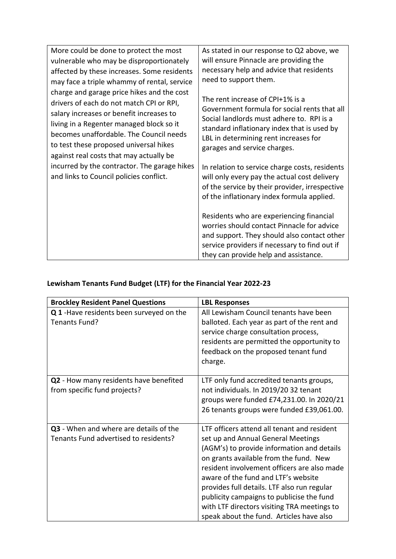| More could be done to protect the most                                                                                             | As stated in our response to Q2 above, we                                                                                                                                                                                                                                                                                                                                                                                         |
|------------------------------------------------------------------------------------------------------------------------------------|-----------------------------------------------------------------------------------------------------------------------------------------------------------------------------------------------------------------------------------------------------------------------------------------------------------------------------------------------------------------------------------------------------------------------------------|
| vulnerable who may be disproportionately                                                                                           | will ensure Pinnacle are providing the                                                                                                                                                                                                                                                                                                                                                                                            |
| affected by these increases. Some residents                                                                                        | necessary help and advice that residents                                                                                                                                                                                                                                                                                                                                                                                          |
| may face a triple whammy of rental, service                                                                                        | need to support them.                                                                                                                                                                                                                                                                                                                                                                                                             |
| charge and garage price hikes and the cost                                                                                         | The rent increase of CPI+1% is a                                                                                                                                                                                                                                                                                                                                                                                                  |
| drivers of each do not match CPI or RPI,                                                                                           | Government formula for social rents that all                                                                                                                                                                                                                                                                                                                                                                                      |
| salary increases or benefit increases to                                                                                           | Social landlords must adhere to. RPI is a                                                                                                                                                                                                                                                                                                                                                                                         |
| living in a Regenter managed block so it                                                                                           | standard inflationary index that is used by                                                                                                                                                                                                                                                                                                                                                                                       |
| becomes unaffordable. The Council needs                                                                                            | LBL in determining rent increases for                                                                                                                                                                                                                                                                                                                                                                                             |
| to test these proposed universal hikes                                                                                             | garages and service charges.                                                                                                                                                                                                                                                                                                                                                                                                      |
| against real costs that may actually be<br>incurred by the contractor. The garage hikes<br>and links to Council policies conflict. | In relation to service charge costs, residents<br>will only every pay the actual cost delivery<br>of the service by their provider, irrespective<br>of the inflationary index formula applied.<br>Residents who are experiencing financial<br>worries should contact Pinnacle for advice<br>and support. They should also contact other<br>service providers if necessary to find out if<br>they can provide help and assistance. |

# **Lewisham Tenants Fund Budget (LTF) for the Financial Year 2022-23**

| <b>Brockley Resident Panel Questions</b>                                        | <b>LBL Responses</b>                                                                                                                                                                                                                                                                                                                                                                                                                                   |
|---------------------------------------------------------------------------------|--------------------------------------------------------------------------------------------------------------------------------------------------------------------------------------------------------------------------------------------------------------------------------------------------------------------------------------------------------------------------------------------------------------------------------------------------------|
| Q 1-Have residents been surveyed on the<br>Tenants Fund?                        | All Lewisham Council tenants have been<br>balloted. Each year as part of the rent and<br>service charge consultation process,<br>residents are permitted the opportunity to<br>feedback on the proposed tenant fund<br>charge.                                                                                                                                                                                                                         |
| Q2 - How many residents have benefited<br>from specific fund projects?          | LTF only fund accredited tenants groups,<br>not individuals. In 2019/20 32 tenant<br>groups were funded £74,231.00. In 2020/21<br>26 tenants groups were funded £39,061.00.                                                                                                                                                                                                                                                                            |
| Q3 - When and where are details of the<br>Tenants Fund advertised to residents? | LTF officers attend all tenant and resident<br>set up and Annual General Meetings<br>(AGM's) to provide information and details<br>on grants available from the fund. New<br>resident involvement officers are also made<br>aware of the fund and LTF's website<br>provides full details. LTF also run regular<br>publicity campaigns to publicise the fund<br>with LTF directors visiting TRA meetings to<br>speak about the fund. Articles have also |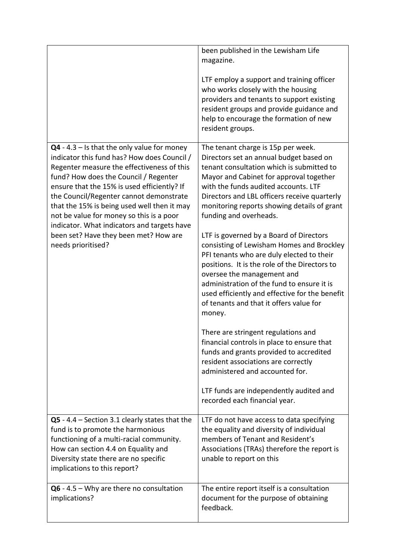|                                                                                                                                                                                                                                                                                                                                                                                                                                                                                        | been published in the Lewisham Life<br>magazine.                                                                                                                                                                                                                                                                                                                                                                                                                                                                                                                                                                                                                                                                                                                                                                                                                                       |
|----------------------------------------------------------------------------------------------------------------------------------------------------------------------------------------------------------------------------------------------------------------------------------------------------------------------------------------------------------------------------------------------------------------------------------------------------------------------------------------|----------------------------------------------------------------------------------------------------------------------------------------------------------------------------------------------------------------------------------------------------------------------------------------------------------------------------------------------------------------------------------------------------------------------------------------------------------------------------------------------------------------------------------------------------------------------------------------------------------------------------------------------------------------------------------------------------------------------------------------------------------------------------------------------------------------------------------------------------------------------------------------|
|                                                                                                                                                                                                                                                                                                                                                                                                                                                                                        | LTF employ a support and training officer<br>who works closely with the housing<br>providers and tenants to support existing<br>resident groups and provide guidance and<br>help to encourage the formation of new<br>resident groups.                                                                                                                                                                                                                                                                                                                                                                                                                                                                                                                                                                                                                                                 |
| $Q4 - 4.3 -$ Is that the only value for money<br>indicator this fund has? How does Council /<br>Regenter measure the effectiveness of this<br>fund? How does the Council / Regenter<br>ensure that the 15% is used efficiently? If<br>the Council/Regenter cannot demonstrate<br>that the 15% is being used well then it may<br>not be value for money so this is a poor<br>indicator. What indicators and targets have<br>been set? Have they been met? How are<br>needs prioritised? | The tenant charge is 15p per week.<br>Directors set an annual budget based on<br>tenant consultation which is submitted to<br>Mayor and Cabinet for approval together<br>with the funds audited accounts. LTF<br>Directors and LBL officers receive quarterly<br>monitoring reports showing details of grant<br>funding and overheads.<br>LTF is governed by a Board of Directors<br>consisting of Lewisham Homes and Brockley<br>PFI tenants who are duly elected to their<br>positions. It is the role of the Directors to<br>oversee the management and<br>administration of the fund to ensure it is<br>used efficiently and effective for the benefit<br>of tenants and that it offers value for<br>money.<br>There are stringent regulations and<br>financial controls in place to ensure that<br>funds and grants provided to accredited<br>resident associations are correctly |
|                                                                                                                                                                                                                                                                                                                                                                                                                                                                                        | administered and accounted for.<br>LTF funds are independently audited and<br>recorded each financial year.                                                                                                                                                                                                                                                                                                                                                                                                                                                                                                                                                                                                                                                                                                                                                                            |
| $Q5 - 4.4 -$ Section 3.1 clearly states that the<br>fund is to promote the harmonious<br>functioning of a multi-racial community.<br>How can section 4.4 on Equality and<br>Diversity state there are no specific<br>implications to this report?                                                                                                                                                                                                                                      | LTF do not have access to data specifying<br>the equality and diversity of individual<br>members of Tenant and Resident's<br>Associations (TRAs) therefore the report is<br>unable to report on this                                                                                                                                                                                                                                                                                                                                                                                                                                                                                                                                                                                                                                                                                   |
| $Q6 - 4.5 - Why are there no consultation$<br>implications?                                                                                                                                                                                                                                                                                                                                                                                                                            | The entire report itself is a consultation<br>document for the purpose of obtaining<br>feedback.                                                                                                                                                                                                                                                                                                                                                                                                                                                                                                                                                                                                                                                                                                                                                                                       |